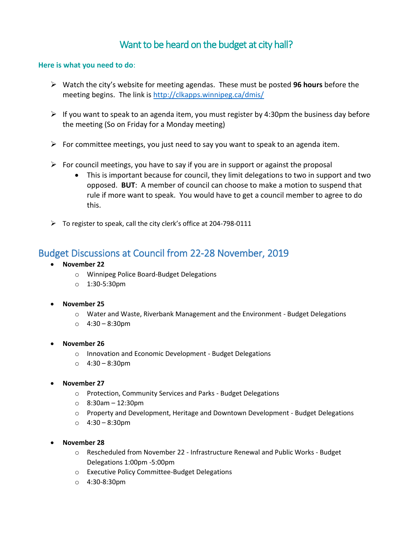# Want to be heard on the budget at city hall?

#### **Here is what you need to do**:

- Watch the city's website for meeting agendas. These must be posted **96 hours** before the meeting begins. The link is<http://clkapps.winnipeg.ca/dmis/>
- $\triangleright$  If you want to speak to an agenda item, you must register by 4:30pm the business day before the meeting (So on Friday for a Monday meeting)
- For committee meetings, you just need to say you want to speak to an agenda item.
- $\triangleright$  For council meetings, you have to say if you are in support or against the proposal
	- This is important because for council, they limit delegations to two in support and two opposed. **BUT**: A member of council can choose to make a motion to suspend that rule if more want to speak. You would have to get a council member to agree to do this.
- $\triangleright$  To register to speak, call the city clerk's office at 204-798-0111

# Budget Discussions at Council from 22-28 November, 2019

- **November 22**
	- o Winnipeg Police Board-Budget Delegations
	- o 1:30-5:30pm
- **November 25**
	- o Water and Waste, Riverbank Management and the Environment Budget Delegations
	- o 4:30 8:30pm
- **November 26**
	- o Innovation and Economic Development Budget Delegations
	- o 4:30 8:30pm
- **November 27**
	- o Protection, Community Services and Parks Budget Delegations
	- o 8:30am 12:30pm
	- o Property and Development, Heritage and Downtown Development Budget Delegations
	- o 4:30 8:30pm
- **November 28**
	- o Rescheduled from November 22 Infrastructure Renewal and Public Works Budget Delegations 1:00pm -5:00pm
	- o Executive Policy Committee-Budget Delegations
	- o 4:30-8:30pm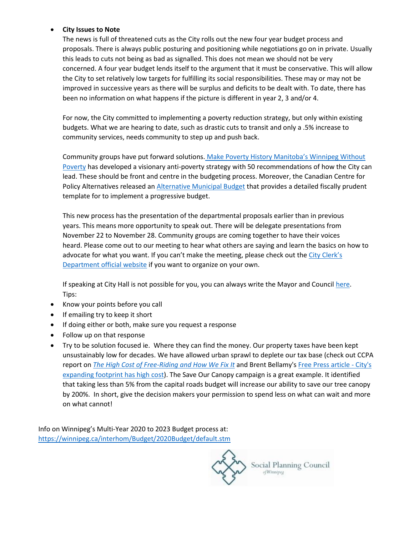#### **City Issues to Note**

The news is full of threatened cuts as the City rolls out the new four year budget process and proposals. There is always public posturing and positioning while negotiations go on in private. Usually this leads to cuts not being as bad as signalled. This does not mean we should not be very concerned. A four year budget lends itself to the argument that it must be conservative. This will allow the City to set relatively low targets for fulfilling its social responsibilities. These may or may not be improved in successive years as there will be surplus and deficits to be dealt with. To date, there has been no information on what happens if the picture is different in year 2, 3 and/or 4.

For now, the City committed to implementing a poverty reduction strategy, but only within existing budgets. What we are hearing to date, such as drastic cuts to transit and only a .5% increase to community services, needs community to step up and push back.

Community groups have put forward solutions. [Make Poverty History Manitoba's Winnipeg Without](https://spcw.us13.list-manage.com/track/click?u=a1c695cb0ffb67cb27aa42901&id=40f46e9ec0&e=d16af1e1df)  [Poverty](https://spcw.us13.list-manage.com/track/click?u=a1c695cb0ffb67cb27aa42901&id=40f46e9ec0&e=d16af1e1df) has developed a visionary anti-poverty strategy with 50 recommendations of how the City can lead. These should be front and centre in the budgeting process. Moreover, the Canadian Centre for Policy Alternatives released an [Alternative Municipal Budget](https://spcw.us13.list-manage.com/track/click?u=a1c695cb0ffb67cb27aa42901&id=9ee1e18870&e=d16af1e1df) that provides a detailed fiscally prudent template for to implement a progressive budget.

This new process has the presentation of the departmental proposals earlier than in previous years. This means more opportunity to speak out. There will be delegate presentations from November 22 to November 28. Community groups are coming together to have their voices heard. Please come out to our meeting to hear what others are saying and learn the basics on how to advocate for what you want. If you can't make the meeting, please check out the [City Clerk's](https://spcw.us13.list-manage.com/track/click?u=a1c695cb0ffb67cb27aa42901&id=9498c10756&e=d16af1e1df)  [Department official website](https://spcw.us13.list-manage.com/track/click?u=a1c695cb0ffb67cb27aa42901&id=9498c10756&e=d16af1e1df) if you want to organize on your own.

If speaking at City Hall is not possible for you, you can always write the Mayor and Council [here.](https://spcw.us13.list-manage.com/track/click?u=a1c695cb0ffb67cb27aa42901&id=2d2e49f20a&e=d16af1e1df) Tips:

- Know your points before you call
- If emailing try to keep it short
- If doing either or both, make sure you request a response
- Follow up on that response
- Try to be solution focused ie. Where they can find the money. Our property taxes have been kept unsustainably low for decades. We have allowed urban sprawl to deplete our tax base (check out CCPA report on *[The High Cost of Free-Riding and How We Fix It](https://spcw.us13.list-manage.com/track/click?u=a1c695cb0ffb67cb27aa42901&id=c83253d927&e=d16af1e1df)* and Brent Bellamy's [Free Press article -](https://spcw.us13.list-manage.com/track/click?u=a1c695cb0ffb67cb27aa42901&id=a479b18bf8&e=d16af1e1df) City's [expanding footprint has high cost\)](https://spcw.us13.list-manage.com/track/click?u=a1c695cb0ffb67cb27aa42901&id=a479b18bf8&e=d16af1e1df). The Save Our Canopy campaign is a great example. It identified that taking less than 5% from the capital roads budget will increase our ability to save our tree canopy by 200%. In short, give the decision makers your permission to spend less on what can wait and more on what cannot!

Info on Winnipeg's Multi-Year 2020 to 2023 Budget process at: [https://winnipeg.ca/interhom/Budget/2020Budget/default.stm](https://spcw.us13.list-manage.com/track/click?u=a1c695cb0ffb67cb27aa42901&id=f36662e990&e=d16af1e1df)